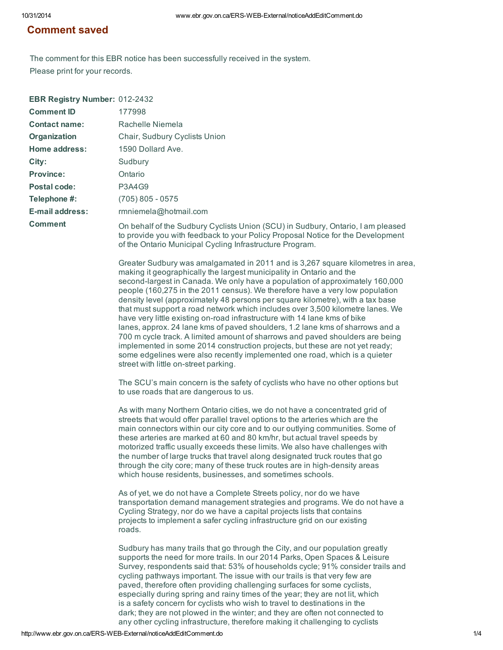## Comment saved

The comment for this EBR notice has been successfully received in the system. Please print for your records.

| EBR Registry Number: 012-2432 |                                                                                                                                                                                                                                                                                                                                                                                                                                                                                                                                                                                                                                                                                                                                                                                                                                                                                                                                                   |
|-------------------------------|---------------------------------------------------------------------------------------------------------------------------------------------------------------------------------------------------------------------------------------------------------------------------------------------------------------------------------------------------------------------------------------------------------------------------------------------------------------------------------------------------------------------------------------------------------------------------------------------------------------------------------------------------------------------------------------------------------------------------------------------------------------------------------------------------------------------------------------------------------------------------------------------------------------------------------------------------|
| <b>Comment ID</b>             | 177998                                                                                                                                                                                                                                                                                                                                                                                                                                                                                                                                                                                                                                                                                                                                                                                                                                                                                                                                            |
| <b>Contact name:</b>          | Rachelle Niemela                                                                                                                                                                                                                                                                                                                                                                                                                                                                                                                                                                                                                                                                                                                                                                                                                                                                                                                                  |
| Organization                  | Chair, Sudbury Cyclists Union                                                                                                                                                                                                                                                                                                                                                                                                                                                                                                                                                                                                                                                                                                                                                                                                                                                                                                                     |
| Home address:                 | 1590 Dollard Ave.                                                                                                                                                                                                                                                                                                                                                                                                                                                                                                                                                                                                                                                                                                                                                                                                                                                                                                                                 |
| City:                         | Sudbury                                                                                                                                                                                                                                                                                                                                                                                                                                                                                                                                                                                                                                                                                                                                                                                                                                                                                                                                           |
| <b>Province:</b>              | Ontario                                                                                                                                                                                                                                                                                                                                                                                                                                                                                                                                                                                                                                                                                                                                                                                                                                                                                                                                           |
| Postal code:                  | <b>P3A4G9</b>                                                                                                                                                                                                                                                                                                                                                                                                                                                                                                                                                                                                                                                                                                                                                                                                                                                                                                                                     |
| Telephone #:                  | $(705) 805 - 0575$                                                                                                                                                                                                                                                                                                                                                                                                                                                                                                                                                                                                                                                                                                                                                                                                                                                                                                                                |
| E-mail address:               | rmniemela@hotmail.com                                                                                                                                                                                                                                                                                                                                                                                                                                                                                                                                                                                                                                                                                                                                                                                                                                                                                                                             |
| <b>Comment</b>                | On behalf of the Sudbury Cyclists Union (SCU) in Sudbury, Ontario, I am pleased<br>to provide you with feedback to your Policy Proposal Notice for the Development<br>of the Ontario Municipal Cycling Infrastructure Program.                                                                                                                                                                                                                                                                                                                                                                                                                                                                                                                                                                                                                                                                                                                    |
|                               | Greater Sudbury was amalgamated in 2011 and is 3,267 square kilometres in area,<br>making it geographically the largest municipality in Ontario and the<br>second-largest in Canada. We only have a population of approximately 160,000<br>people (160,275 in the 2011 census). We therefore have a very low population<br>density level (approximately 48 persons per square kilometre), with a tax base<br>that must support a road network which includes over 3,500 kilometre lanes. We<br>have very little existing on-road infrastructure with 14 lane kms of bike<br>lanes, approx. 24 lane kms of paved shoulders, 1.2 lane kms of sharrows and a<br>700 m cycle track. A limited amount of sharrows and paved shoulders are being<br>implemented in some 2014 construction projects, but these are not yet ready;<br>some edgelines were also recently implemented one road, which is a quieter<br>street with little on-street parking. |
|                               | The SCU's main concern is the safety of cyclists who have no other options but<br>to use roads that are dangerous to us.                                                                                                                                                                                                                                                                                                                                                                                                                                                                                                                                                                                                                                                                                                                                                                                                                          |
|                               | As with many Northern Ontario cities, we do not have a concentrated grid of<br>streets that would offer parallel travel options to the arteries which are the<br>main connectors within our city core and to our outlying communities. Some of<br>these arteries are marked at 60 and 80 km/hr, but actual travel speeds by<br>motorized traffic usually exceeds these limits. We also have challenges with<br>the number of large trucks that travel along designated truck routes that go<br>through the city core; many of these truck routes are in high-density areas<br>which house residents, businesses, and sometimes schools.                                                                                                                                                                                                                                                                                                           |
|                               | As of yet, we do not have a Complete Streets policy, nor do we have<br>transportation demand management strategies and programs. We do not have a<br>Cycling Strategy, nor do we have a capital projects lists that contains<br>projects to implement a safer cycling infrastructure grid on our existing<br>roads.                                                                                                                                                                                                                                                                                                                                                                                                                                                                                                                                                                                                                               |
|                               | Sudbury has many trails that go through the City, and our population greatly<br>supports the need for more trails. In our 2014 Parks, Open Spaces & Leisure<br>Survey, respondents said that: 53% of households cycle; 91% consider trails and<br>cycling pathways important. The issue with our trails is that very few are<br>paved, therefore often providing challenging surfaces for some cyclists,<br>especially during spring and rainy times of the year; they are not lit, which<br>is a safety concern for cyclists who wish to travel to destinations in the                                                                                                                                                                                                                                                                                                                                                                           |

dark; they are not plowed in the winter; and they are often not connected to any other cycling infrastructure, therefore making it challenging to cyclists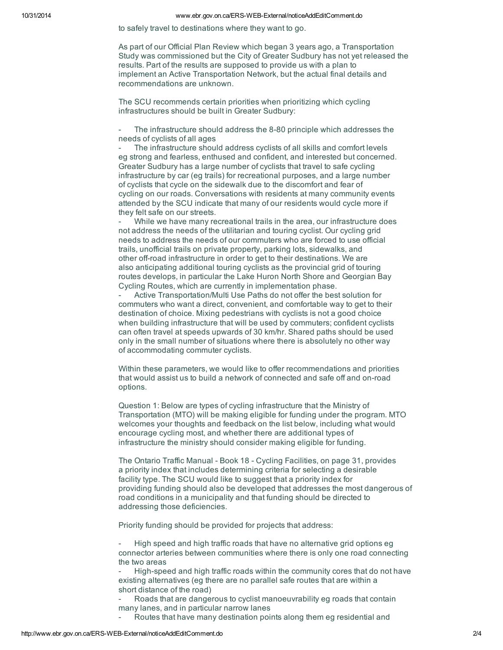## 10/31/2014 www.ebr.gov.on.ca/ERS-WEB-External/noticeAddEditComment.do

to safely travel to destinations where they want to go.

As part of our Official Plan Review which began 3 years ago, a Transportation Study was commissioned but the City of Greater Sudbury has not yet released the results. Part of the results are supposed to provide us with a plan to implement an Active Transportation Network, but the actual final details and recommendations are unknown.

The SCU recommends certain priorities when prioritizing which cycling infrastructures should be built in Greater Sudbury:

The infrastructure should address the 8-80 principle which addresses the needs of cyclists of all ages

The infrastructure should address cyclists of all skills and comfort levels eg strong and fearless, enthused and confident, and interested but concerned. Greater Sudbury has a large number of cyclists that travel to safe cycling infrastructure by car (eg trails) for recreational purposes, and a large number of cyclists that cycle on the sidewalk due to the discomfort and fear of cycling on our roads. Conversations with residents at many community events attended by the SCU indicate that many of our residents would cycle more if they felt safe on our streets.

While we have many recreational trails in the area, our infrastructure does not address the needs of the utilitarian and touring cyclist. Our cycling grid needs to address the needs of our commuters who are forced to use official trails, unofficial trails on private property, parking lots, sidewalks, and other off-road infrastructure in order to get to their destinations. We are also anticipating additional touring cyclists as the provincial grid of touring routes develops, in particular the Lake Huron North Shore and Georgian Bay Cycling Routes, which are currently in implementation phase.

Active Transportation/Multi Use Paths do not offer the best solution for commuters who want a direct, convenient, and comfortable way to get to their destination of choice. Mixing pedestrians with cyclists is not a good choice when building infrastructure that will be used by commuters; confident cyclists can often travel at speeds upwards of 30 km/hr. Shared paths should be used only in the small number of situations where there is absolutely no other way of accommodating commuter cyclists.

Within these parameters, we would like to offer recommendations and priorities that would assist us to build a network of connected and safe off and on-road options.

Question 1: Below are types of cycling infrastructure that the Ministry of Transportation (MTO) will be making eligible for funding under the program. MTO welcomes your thoughts and feedback on the list below, including what would encourage cycling most, and whether there are additional types of infrastructure the ministry should consider making eligible for funding.

The Ontario Traffic Manual - Book 18 - Cycling Facilities, on page 31, provides a priority index that includes determining criteria for selecting a desirable facility type. The SCU would like to suggest that a priority index for providing funding should also be developed that addresses the most dangerous of road conditions in a municipality and that funding should be directed to addressing those deficiencies.

Priority funding should be provided for projects that address:

- High speed and high traffic roads that have no alternative grid options eg connector arteries between communities where there is only one road connecting the two areas

- High-speed and high traffic roads within the community cores that do not have existing alternatives (eg there are no parallel safe routes that are within a short distance of the road)

- Roads that are dangerous to cyclist manoeuvrability eg roads that contain many lanes, and in particular narrow lanes

Routes that have many destination points along them eg residential and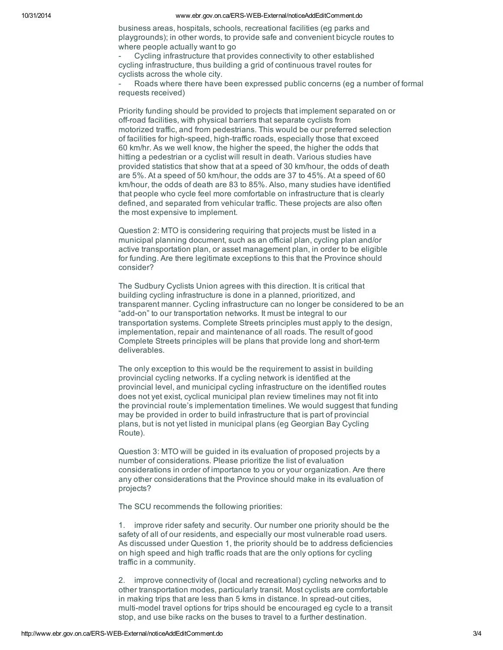business areas, hospitals, schools, recreational facilities (eg parks and playgrounds); in other words, to provide safe and convenient bicycle routes to where people actually want to go

- Cycling infrastructure that provides connectivity to other established cycling infrastructure, thus building a grid of continuous travel routes for cyclists across the whole city.

Roads where there have been expressed public concerns (eg a number of formal requests received)

Priority funding should be provided to projects that implement separated on or off-road facilities, with physical barriers that separate cyclists from motorized traffic, and from pedestrians. This would be our preferred selection of facilities for high-speed, high-traffic roads, especially those that exceed 60 km/hr. As we well know, the higher the speed, the higher the odds that hitting a pedestrian or a cyclist will result in death. Various studies have provided statistics that show that at a speed of 30 km/hour, the odds of death are 5%. At a speed of 50 km/hour, the odds are 37 to 45%. At a speed of 60 km/hour, the odds of death are 83 to 85%. Also, many studies have identified that people who cycle feel more comfortable on infrastructure that is clearly defined, and separated from vehicular traffic. These projects are also often the most expensive to implement.

Question 2: MTO is considering requiring that projects must be listed in a municipal planning document, such as an official plan, cycling plan and/or active transportation plan, or asset management plan, in order to be eligible for funding. Are there legitimate exceptions to this that the Province should consider?

The Sudbury Cyclists Union agrees with this direction. It is critical that building cycling infrastructure is done in a planned, prioritized, and transparent manner. Cycling infrastructure can no longer be considered to be an "add-on" to our transportation networks. It must be integral to our transportation systems. Complete Streets principles must apply to the design, implementation, repair and maintenance of all roads. The result of good Complete Streets principles will be plans that provide long and short-term deliverables.

The only exception to this would be the requirement to assist in building provincial cycling networks. If a cycling network is identified at the provincial level, and municipal cycling infrastructure on the identified routes does not yet exist, cyclical municipal plan review timelines may not fit into the provincial route's implementation timelines. We would suggest that funding may be provided in order to build infrastructure that is part of provincial plans, but is not yet listed in municipal plans (eg Georgian Bay Cycling Route).

Question 3: MTO will be guided in its evaluation of proposed projects by a number of considerations. Please prioritize the list of evaluation considerations in order of importance to you or your organization. Are there any other considerations that the Province should make in its evaluation of projects?

The SCU recommends the following priorities:

1. improve rider safety and security. Our number one priority should be the safety of all of our residents, and especially our most vulnerable road users. As discussed under Question 1, the priority should be to address deficiencies on high speed and high traffic roads that are the only options for cycling traffic in a community.

2. improve connectivity of (local and recreational) cycling networks and to other transportation modes, particularly transit. Most cyclists are comfortable in making trips that are less than 5 kms in distance. In spread-out cities, multi-model travel options for trips should be encouraged eg cycle to a transit stop, and use bike racks on the buses to travel to a further destination.